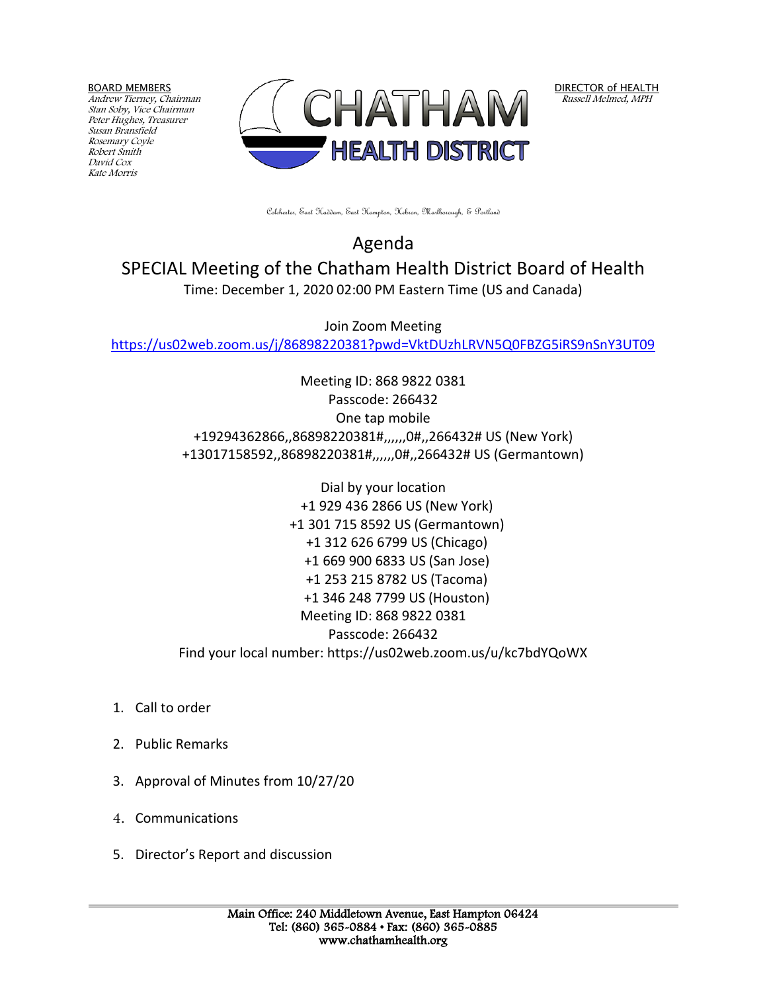BOARD MEMBERS

Andrew Tierney, Chairman Stan Soby, Vice Chairman Peter Hughes, Treasurer Susan Bransfield Rosemary Coyle Robert Smith David Cox Kate Morris



DIRECTOR of HEALTH Russell Melmed, MPH

Colchester, East Haddam, East Hampton, Hebron, Marlborough, & Portland

Agenda SPECIAL Meeting of the Chatham Health District Board of Health Time: December 1, 2020 02:00 PM Eastern Time (US and Canada)

Join Zoom Meeting <https://us02web.zoom.us/j/86898220381?pwd=VktDUzhLRVN5Q0FBZG5iRS9nSnY3UT09>

> Meeting ID: 868 9822 0381 Passcode: 266432 One tap mobile +19294362866,,86898220381#,,,,,,0#,,266432# US (New York) +13017158592,,86898220381#,,,,,,0#,,266432# US (Germantown)

> Dial by your location +1 929 436 2866 US (New York) +1 301 715 8592 US (Germantown) +1 312 626 6799 US (Chicago) +1 669 900 6833 US (San Jose) +1 253 215 8782 US (Tacoma) +1 346 248 7799 US (Houston) Meeting ID: 868 9822 0381 Passcode: 266432 Find your local number: https://us02web.zoom.us/u/kc7bdYQoWX

- 1. Call to order
- 2. Public Remarks
- 3. Approval of Minutes from 10/27/20
- 4. Communications
- 5. Director's Report and discussion